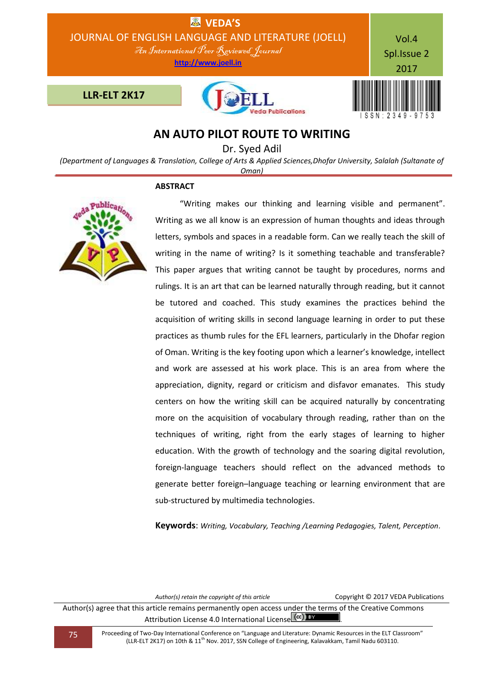

# **AN AUTO PILOT ROUTE TO WRITING**

Dr. Syed Adil

*(Department of Languages & Translation, College of Arts & Applied Sciences,Dhofar University, Salalah (Sultanate of Oman)*

# **ABSTRACT**



 "Writing makes our thinking and learning visible and permanent". Writing as we all know is an expression of human thoughts and ideas through letters, symbols and spaces in a readable form. Can we really teach the skill of writing in the name of writing? Is it something teachable and transferable? This paper argues that writing cannot be taught by procedures, norms and rulings. It is an art that can be learned naturally through reading, but it cannot be tutored and coached. This study examines the practices behind the acquisition of writing skills in second language learning in order to put these practices as thumb rules for the EFL learners, particularly in the Dhofar region of Oman. Writing is the key footing upon which a learner's knowledge, intellect and work are assessed at his work place. This is an area from where the appreciation, dignity, regard or criticism and disfavor emanates. This study centers on how the writing skill can be acquired naturally by concentrating more on the acquisition of vocabulary through reading, rather than on the techniques of writing, right from the early stages of learning to higher education. With the growth of technology and the soaring digital revolution, foreign-language teachers should reflect on the advanced methods to generate better foreign–language teaching or learning environment that are sub-structured by multimedia technologies.

**Keywords**: *Writing, Vocabulary, Teaching /Learning Pedagogies, Talent, Perception.*

*Author(s) retain the copyright of this article* Copyright © 2017 VEDA Publications

Author(s) agree that this article remains permanently open access under the terms of the Creative Commons Attribution License 4.0 International License  $\left[\text{cc}\right]$  BY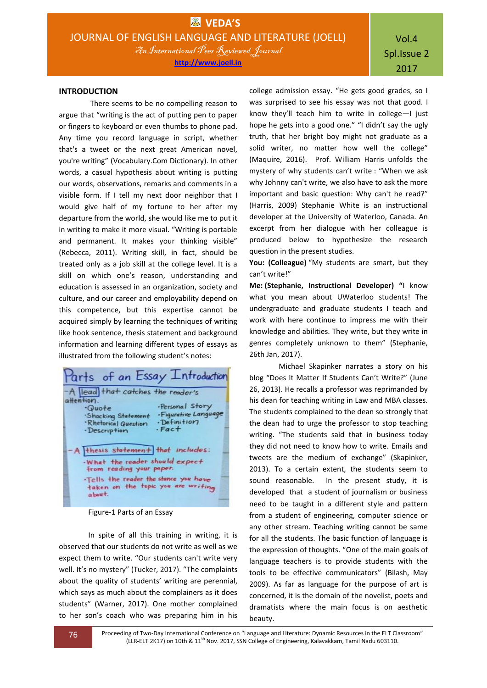### **INTRODUCTION**

There seems to be no compelling reason to argue that "writing is the act of putting pen to paper or fingers to keyboard or even thumbs to phone pad. Any time you record language in script, whether that's a tweet or the next great American novel, you're writing" (Vocabulary.Com Dictionary). In other words, a casual hypothesis about writing is putting our words, observations, remarks and comments in a visible form. If I tell my next door neighbor that I would give half of my fortune to her after my departure from the world, she would like me to put it in writing to make it more visual. "Writing is portable and permanent. It makes your thinking visible" (Rebecca, 2011). Writing skill, in fact, should be treated only as a job skill at the college level. It is a skill on which one's reason, understanding and education is assessed in an organization, society and culture, and our career and employability depend on this competence, but this expertise cannot be acquired simply by learning the techniques of writing like hook sentence, thesis statement and background information and learning different types of essays as illustrated from the following student's notes:

### Parts of an Essay Introduction -A lead that catches the reader's attention. ·Personal Story ·Quote Shocking Statement . Figurative Language ·Rhetorical Question ·Definition  $. Factor$ · Description - A Hesis statement that includes: What the reader should expect from reading your paper. . Tells the reader the stance you have taken on the topic you are writing about.

Figure-1 Parts of an Essay

In spite of all this training in writing, it is observed that our students do not write as well as we expect them to write. "Our students can't write very well. It's no mystery" (Tucker, 2017). "The complaints about the quality of students' writing are perennial, which says as much about the complainers as it does students" (Warner, 2017). One mother complained to her son's coach who was preparing him in his college admission essay. "He gets good grades, so I was surprised to see his essay was not that good. I know they'll teach him to write in college—I just hope he gets into a good one." "I didn't say the ugly truth, that her bright boy might not graduate as a solid writer, no matter how well the college" (Maquire, 2016). Prof. William Harris unfolds the mystery of why students can't write : "When we ask why Johnny can't write, we also have to ask the more important and basic question: Why can't he read?" (Harris, 2009) Stephanie White is an instructional developer at the University of Waterloo, Canada. An excerpt from her dialogue with her colleague is produced below to hypothesize the research question in the present studies.

**You: (Colleague)** "My students are smart, but they can't write!"

**Me: (Stephanie, Instructional Developer) "**I know what you mean about UWaterloo students! The undergraduate and graduate students I teach and work with here continue to impress me with their knowledge and abilities. They write, but they write in genres completely unknown to them" (Stephanie, 26th Jan, 2017).

Michael Skapinker narrates a story on his blog "Does It Matter If Students Can't Write?" (June 26, 2013). He recalls a professor was reprimanded by his dean for teaching writing in Law and MBA classes. The students complained to the dean so strongly that the dean had to urge the professor to stop teaching writing. "The students said that in business today they did not need to know how to write. Emails and tweets are the medium of exchange" (Skapinker, 2013). To a certain extent, the students seem to sound reasonable. In the present study, it is developed that a student of journalism or business need to be taught in a different style and pattern from a student of engineering, computer science or any other stream. Teaching writing cannot be same for all the students. The basic function of language is the expression of thoughts. "One of the main goals of language teachers is to provide students with the tools to be effective communicators" (Bilash, May 2009). As far as language for the purpose of art is concerned, it is the domain of the novelist, poets and dramatists where the main focus is on aesthetic beauty.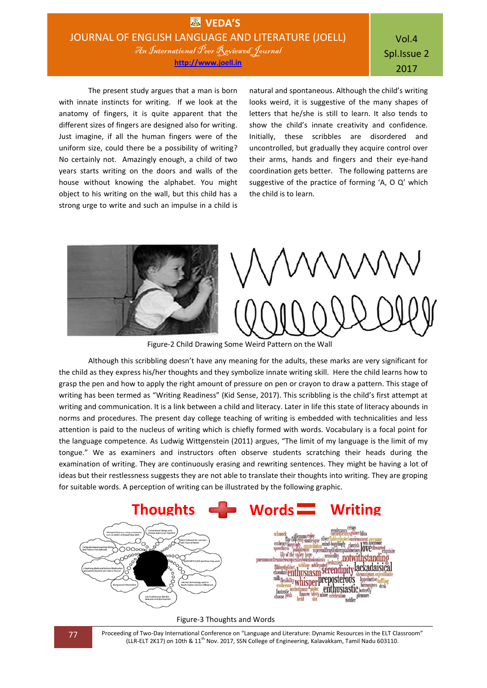**ENDA'S** JOURNAL OF ENGLISH LANGUAGE AND LITERATURE (JOELL) An International Peer Reviewed Journal **http://www.joell.in**

Vol.4 Spl.Issue 2 2017

The present study argues that a man is born with innate instincts for writing. If we look at the anatomy of fingers, it is quite apparent that the different sizes of fingers are designed also for writing. Just imagine, if all the human fingers were of the uniform size, could there be a possibility of writing? No certainly not. Amazingly enough, a child of two years starts writing on the doors and walls of the house without knowing the alphabet. You might object to his writing on the wall, but this child has a strong urge to write and such an impulse in a child is natural and spontaneous. Although the child's writing looks weird, it is suggestive of the many shapes of letters that he/she is still to learn. It also tends to show the child's innate creativity and confidence. Initially, these scribbles are disordered and uncontrolled, but gradually they acquire control over their arms, hands and fingers and their eye-hand coordination gets better. The following patterns are suggestive of the practice of forming 'A, O Q' which the child is to learn.



Figure-2 Child Drawing Some Weird Pattern on the Wall

Although this scribbling doesn't have any meaning for the adults, these marks are very significant for the child as they express his/her thoughts and they symbolize innate writing skill. Here the child learns how to grasp the pen and how to apply the right amount of pressure on pen or crayon to draw a pattern. This stage of writing has been termed as "Writing Readiness" (Kid Sense, 2017). This scribbling is the child's first attempt at writing and communication. It is a link between a child and literacy. Later in life this state of literacy abounds in norms and procedures. The present day college teaching of writing is embedded with technicalities and less attention is paid to the nucleus of writing which is chiefly formed with words. Vocabulary is a focal point for the language competence. As Ludwig Wittgenstein (2011) argues, "The limit of my language is the limit of my tongue." We as examiners and instructors often observe students scratching their heads during the examination of writing. They are continuously erasing and rewriting sentences. They might be having a lot of ideas but their restlessness suggests they are not able to translate their thoughts into writing. They are groping for suitable words. A perception of writing can be illustrated by the following graphic.



Figure-3 Thoughts and Words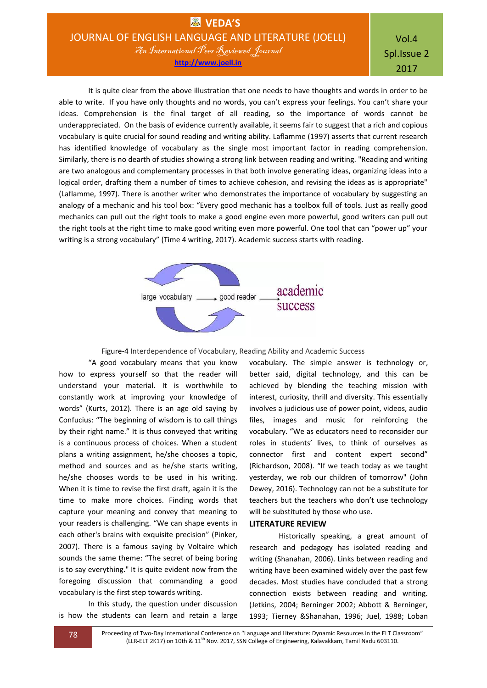It is quite clear from the above illustration that one needs to have thoughts and words in order to be able to write. If you have only thoughts and no words, you can't express your feelings. You can't share your ideas. Comprehension is the final target of all reading, so the importance of words cannot be underappreciated. On the basis of evidence currently available, it seems fair to suggest that a rich and copious vocabulary is quite crucial for sound reading and writing ability. Laflamme (1997) asserts that current research has identified knowledge of vocabulary as the single most important factor in reading comprehension. Similarly, there is no dearth of studies showing a strong link between reading and writing. "Reading and writing are two analogous and complementary processes in that both involve generating ideas, organizing ideas into a logical order, drafting them a number of times to achieve cohesion, and revising the ideas as is appropriate" (Laflamme, 1997). There is another writer who demonstrates the importance of vocabulary by suggesting an analogy of a mechanic and his tool box: "Every good mechanic has a toolbox full of tools. Just as really good mechanics can pull out the right tools to make a good engine even more powerful, good writers can pull out the right tools at the right time to make good writing even more powerful. One tool that can "power up" your writing is a strong vocabulary" (Time 4 writing, 2017). Academic success starts with reading.



Figure-4 Interdependence of Vocabulary, Reading Ability and Academic Success

"A good vocabulary means that you know how to express yourself so that the reader will understand your material. It is worthwhile to constantly work at improving your knowledge of words" (Kurts, 2012). There is an age old saying by Confucius: "The beginning of wisdom is to call things by their right name." It is thus conveyed that writing is a continuous process of choices. When a student plans a writing assignment, he/she chooses a topic, method and sources and as he/she starts writing, he/she chooses words to be used in his writing. When it is time to revise the first draft, again it is the time to make more choices. Finding words that capture your meaning and convey that meaning to your readers is challenging. "We can shape events in each other's brains with exquisite precision" (Pinker, 2007). There is a famous saying by Voltaire which sounds the same theme: "The secret of being boring is to say everything." It is quite evident now from the foregoing discussion that commanding a good vocabulary is the first step towards writing.

In this study, the question under discussion is how the students can learn and retain a large vocabulary. The simple answer is technology or, better said, digital technology, and this can be achieved by blending the teaching mission with interest, curiosity, thrill and diversity. This essentially involves a judicious use of power point, videos, audio files, images and music for reinforcing the vocabulary. "We as educators need to reconsider our roles in students' lives, to think of ourselves as connector first and content expert second" (Richardson, 2008). "If we teach today as we taught yesterday, we rob our children of tomorrow" (John Dewey, 2016). Technology can not be a substitute for teachers but the teachers who don't use technology will be substituted by those who use.

## **LITERATURE REVIEW**

Historically speaking, a great amount of research and pedagogy has isolated reading and writing (Shanahan, 2006). Links between reading and writing have been examined widely over the past few decades. Most studies have concluded that a strong connection exists between reading and writing. (Jetkins, 2004; Berninger 2002; Abbott & Berninger, 1993; Tierney &Shanahan, 1996; Juel, 1988; Loban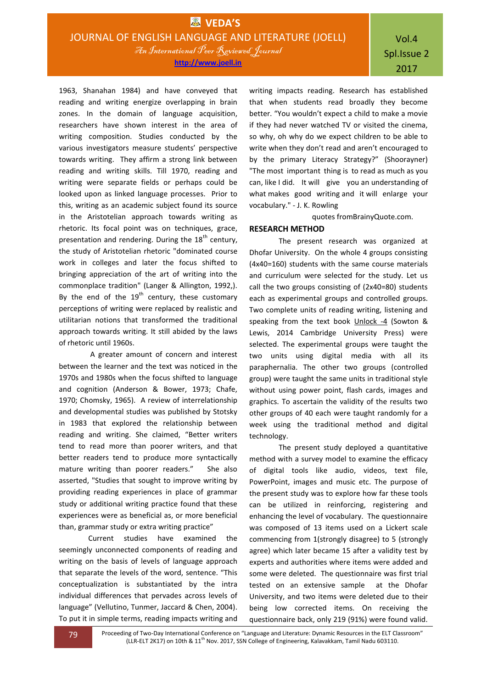**http://www.joell.in**

1963, Shanahan 1984) and have conveyed that reading and writing energize overlapping in brain zones. In the domain of language acquisition, researchers have shown interest in the area of writing composition. Studies conducted by the various investigators measure students' perspective towards writing. They affirm a strong link between reading and writing skills. Till 1970, reading and writing were separate fields or perhaps could be looked upon as linked language processes. Prior to this, writing as an academic subject found its source in the Aristotelian approach towards writing as rhetoric. Its focal point was on techniques, grace, presentation and rendering. During the  $18<sup>th</sup>$  century, the study of Aristotelian rhetoric "dominated course work in colleges and later the focus shifted to bringing appreciation of the art of writing into the commonplace tradition" (Langer & Allington, 1992,). By the end of the  $19<sup>th</sup>$  century, these customary perceptions of writing were replaced by realistic and utilitarian notions that transformed the traditional approach towards writing. It still abided by the laws of rhetoric until 1960s.

A greater amount of concern and interest between the learner and the text was noticed in the 1970s and 1980s when the focus shifted to language and cognition (Anderson & Bower, 1973; Chafe, 1970; Chomsky, 1965). A review of interrelationship and developmental studies was published by Stotsky in 1983 that explored the relationship between reading and writing. She claimed, "Better writers tend to read more than poorer writers, and that better readers tend to produce more syntactically mature writing than poorer readers." She also asserted, "Studies that sought to improve writing by providing reading experiences in place of grammar study or additional writing practice found that these experiences were as beneficial as, or more beneficial than, grammar study or extra writing practice"

Current studies have examined the seemingly unconnected components of reading and writing on the basis of levels of language approach that separate the levels of the word, sentence. "This conceptualization is substantiated by the intra individual differences that pervades across levels of language" (Vellutino, Tunmer, Jaccard & Chen, 2004). To put it in simple terms, reading impacts writing and

writing impacts reading. Research has established that when students read broadly they become better. "You wouldn't expect a child to make a movie if they had never watched TV or visited the cinema, so why, oh why do we expect children to be able to write when they don't read and aren't encouraged to by the primary Literacy Strategy?" (Shoorayner) "The most important thing is to read as much as you can, like I did. It will give you an understanding of what makes good writing and it will enlarge your vocabulary." - J. K. Rowling

quotes fromBrainyQuote.com.

## **RESEARCH METHOD**

The present research was organized at Dhofar University. On the whole 4 groups consisting (4x40=160) students with the same course materials and curriculum were selected for the study. Let us call the two groups consisting of (2x40=80) students each as experimental groups and controlled groups. Two complete units of reading writing, listening and speaking from the text book Unlock -4 (Sowton & Lewis, 2014 Cambridge University Press) were selected. The experimental groups were taught the two units using digital media with all its paraphernalia. The other two groups (controlled group) were taught the same units in traditional style without using power point, flash cards, images and graphics. To ascertain the validity of the results two other groups of 40 each were taught randomly for a week using the traditional method and digital technology.

The present study deployed a quantitative method with a survey model to examine the efficacy of digital tools like audio, videos, text file, PowerPoint, images and music etc. The purpose of the present study was to explore how far these tools can be utilized in reinforcing, registering and enhancing the level of vocabulary. The questionnaire was composed of 13 items used on a Lickert scale commencing from 1(strongly disagree) to 5 (strongly agree) which later became 15 after a validity test by experts and authorities where items were added and some were deleted. The questionnaire was first trial tested on an extensive sample at the Dhofar University, and two items were deleted due to their being low corrected items. On receiving the questionnaire back, only 219 (91%) were found valid.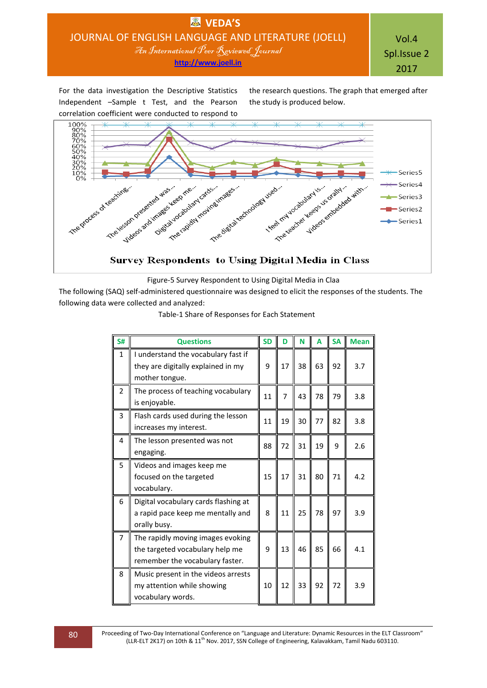For the data investigation the Descriptive Statistics Independent –Sample t Test, and the Pearson correlation coefficient were conducted to respond to the research questions. The graph that emerged after the study is produced below.



The following (SAQ) self-administered questionnaire was designed to elicit the responses of the students. The following data were collected and analyzed:

| S#             | <b>Questions</b>                                                                                        | <b>SD</b> | D              | N  | A  | <b>SA</b> | <b>Mean</b> |
|----------------|---------------------------------------------------------------------------------------------------------|-----------|----------------|----|----|-----------|-------------|
| $\mathbf{1}$   | I understand the vocabulary fast if<br>they are digitally explained in my<br>mother tongue.             | 9         | 17             | 38 | 63 | 92        | 3.7         |
| $\overline{2}$ | The process of teaching vocabulary<br>is enjoyable.                                                     | 11        | $\overline{7}$ | 43 | 78 | 79        | 3.8         |
| 3              | Flash cards used during the lesson<br>increases my interest.                                            | 11        | 19             | 30 | 77 | 82        | 3.8         |
| 4              | The lesson presented was not<br>engaging.                                                               | 88        | 72             | 31 | 19 | 9         | 2.6         |
| 5              | Videos and images keep me<br>focused on the targeted<br>vocabulary.                                     | 15        | 17             | 31 | 80 | 71        | 4.2         |
| 6              | Digital vocabulary cards flashing at<br>a rapid pace keep me mentally and<br>orally busy.               | 8         | 11             | 25 | 78 | 97        | 3.9         |
| 7              | The rapidly moving images evoking<br>the targeted vocabulary help me<br>remember the vocabulary faster. | 9         | 13             | 46 | 85 | 66        | 4.1         |
| 8              | Music present in the videos arrests<br>my attention while showing<br>vocabulary words.                  | 10        | 12             | 33 | 92 | 72        | 3.9         |

Table-1 Share of Responses for Each Statement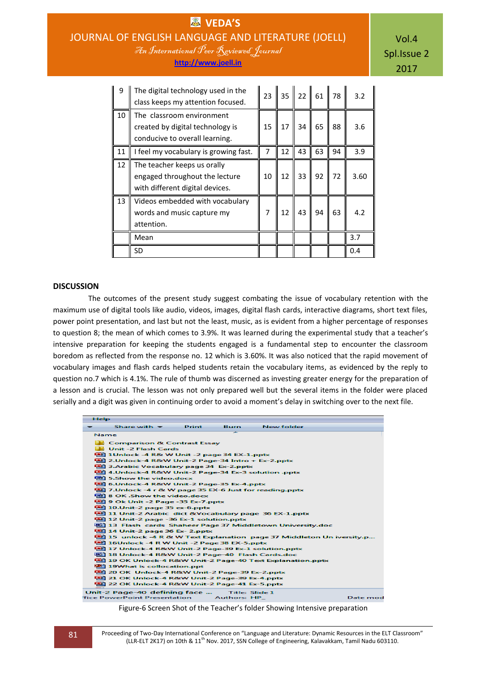| <b>EN VEDA'S</b>                                   |
|----------------------------------------------------|
| JOURNAL OF ENGLISH LANGUAGE AND LITERATURE (JOELL) |
| An International Peer Reviewed Journal             |
| http://www.joell.in                                |

| 9  | The digital technology used in the<br>class keeps my attention focused.                          |                |    | $23$ 35 22 61 78 |    |    | 3.2  |
|----|--------------------------------------------------------------------------------------------------|----------------|----|------------------|----|----|------|
| 10 | The classroom environment<br>created by digital technology is<br>conducive to overall learning.  | 15             | 17 | 34               | 65 | 88 | 3.6  |
| 11 | I feel my vocabulary is growing fast.                                                            | $\overline{7}$ | 12 | 43               | 63 | 94 | 3.9  |
| 12 | The teacher keeps us orally<br>engaged throughout the lecture<br>with different digital devices. | 10             | 12 | 33               | 92 | 72 | 3.60 |
| 13 | Videos embedded with vocabulary<br>words and music capture my<br>attention.                      | 7              | 12 | 43               | 94 | 63 | 4.2  |
|    | Mean                                                                                             |                |    |                  |    |    | 3.7  |
|    | SD                                                                                               |                |    |                  |    |    | 0.4  |

# **DISCUSSION**

The outcomes of the present study suggest combating the issue of vocabulary retention with the maximum use of digital tools like audio, videos, images, digital flash cards, interactive diagrams, short text files, power point presentation, and last but not the least, music, as is evident from a higher percentage of responses to question 8; the mean of which comes to 3.9%. It was learned during the experimental study that a teacher's intensive preparation for keeping the students engaged is a fundamental step to encounter the classroom boredom as reflected from the response no. 12 which is 3.60%. It was also noticed that the rapid movement of vocabulary images and flash cards helped students retain the vocabulary items, as evidenced by the reply to question no.7 which is 4.1%. The rule of thumb was discerned as investing greater energy for the preparation of a lesson and is crucial. The lesson was not only prepared well but the several items in the folder were placed serially and a digit was given in continuing order to avoid a moment's delay in switching over to the next file.

| Help |                                                                                                                  |       |                |                                                         |          |  |  |  |
|------|------------------------------------------------------------------------------------------------------------------|-------|----------------|---------------------------------------------------------|----------|--|--|--|
|      | Share with $\sim$                                                                                                | Print | Burn           | New folder                                              |          |  |  |  |
|      | Name                                                                                                             |       | ≂              |                                                         |          |  |  |  |
|      | <b>Comparison &amp; Contrast Essay</b>                                                                           |       |                |                                                         |          |  |  |  |
|      | <b>III</b> Unit -2 Flash Cards                                                                                   |       |                |                                                         |          |  |  |  |
|      | <b>EE 1Unlock -4 R&amp; W Unit -2 page 34 EX-1.pptx</b>                                                          |       |                |                                                         |          |  |  |  |
|      | 2.Unlock-4 R&W Unit-2 Page-34 Intro + Ex-2.pptx                                                                  |       |                |                                                         |          |  |  |  |
|      | [[22] 3.Arabic Vocabulary page 34 Ex-2.pptx                                                                      |       |                |                                                         |          |  |  |  |
|      | 4.Unlock-4 R&W Unit-2 Page-34 Ex-3 solution .pptx                                                                |       |                |                                                         |          |  |  |  |
|      | [99] 5.Show the video.docx                                                                                       |       |                |                                                         |          |  |  |  |
|      | 6.Unlock-4 R&W Unit-2 Page-35 Ex-4.pptx                                                                          |       |                |                                                         |          |  |  |  |
|      | 7.Unlock -4 r & W page 35 EX-6 Just for reading.pptx                                                             |       |                |                                                         |          |  |  |  |
|      | a 8 OK .Show the video.docx                                                                                      |       |                |                                                         |          |  |  |  |
|      | 9 Ok Unit -2 Page -35 Ex-7.pptx                                                                                  |       |                |                                                         |          |  |  |  |
|      | $\left[\frac{1}{2}\right]$ 10.Unit-2 page 35 ex-6.pptx                                                           |       |                |                                                         |          |  |  |  |
|      | [44] 11 Unit-2 Arabic dict & Vocabulary page 36 EX-1.pptx                                                        |       |                |                                                         |          |  |  |  |
|      | <b>Ed 12 Unit-2 page -36 Ex-1 solution.pptx</b><br>[22] 13 Flash cards Shaheer Page 37 Middletown University.doc |       |                |                                                         |          |  |  |  |
|      |                                                                                                                  |       |                |                                                         |          |  |  |  |
|      | 14 Unit-2 page 36 Ex- 2.pptx<br>[44] 15 unlock -4 R & W Text Explanation page 37 Middleton Un iversity.p         |       |                |                                                         |          |  |  |  |
|      | <b>Ed 16Unlock -4 R W Unit -2 Page 38 EX-5.pptx</b>                                                              |       |                |                                                         |          |  |  |  |
|      |                                                                                                                  |       |                |                                                         |          |  |  |  |
|      | [44] 17 Unlock-4 R&W Unit-2 Page-39 Ex-1 solution.pptx<br>吧】 18 Unlock-4 R&W Unit-2 Page 40 Flash Cards.doc      |       |                |                                                         |          |  |  |  |
|      |                                                                                                                  |       |                | 19 OK Unlock-4 R&W Unit-2 Page-40 Text Explanation.pptx |          |  |  |  |
|      | 19What is collocation.ppt                                                                                        |       |                |                                                         |          |  |  |  |
|      | 图 20 OK Unlock-4 R&W Unit-2 Page-39 Ex-2.pptx                                                                    |       |                |                                                         |          |  |  |  |
|      | 21 OK Unlock-4 R&W Unit-2 Page-39 Ex-4.pptx                                                                      |       |                |                                                         |          |  |  |  |
|      | [[4] 22 OK Unlock-4 R&W Unit-2 Page-41 Ex-5.pptx                                                                 |       |                |                                                         |          |  |  |  |
|      | Unit-2 Page-40 defining face                                                                                     |       | Title: Slide 1 |                                                         |          |  |  |  |
|      | fice PowerPoint Presentation                                                                                     |       | Authors: HP    |                                                         | Date mod |  |  |  |

#### Figure-6 Screen Shot of the Teacher's folder Showing Intensive preparation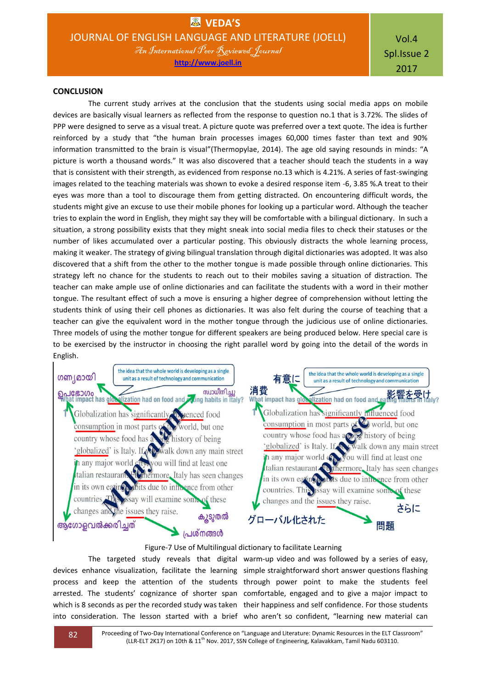## **CONCLUSION**

The current study arrives at the conclusion that the students using social media apps on mobile devices are basically visual learners as reflected from the response to question no.1 that is 3.72%. The slides of PPP were designed to serve as a visual treat. A picture quote was preferred over a text quote. The idea is further reinforced by a study that "the human brain processes images 60,000 times faster than text and 90% information transmitted to the brain is visual"(Thermopylae, 2014). The age old saying resounds in minds: "A picture is worth a thousand words." It was also discovered that a teacher should teach the students in a way that is consistent with their strength, as evidenced from response no.13 which is 4.21%. A series of fast-swinging images related to the teaching materials was shown to evoke a desired response item -6, 3.85 %.A treat to their eyes was more than a tool to discourage them from getting distracted. On encountering difficult words, the students might give an excuse to use their mobile phones for looking up a particular word. Although the teacher tries to explain the word in English, they might say they will be comfortable with a bilingual dictionary. In such a situation, a strong possibility exists that they might sneak into social media files to check their statuses or the number of likes accumulated over a particular posting. This obviously distracts the whole learning process, making it weaker. The strategy of giving bilingual translation through digital dictionaries was adopted. It was also discovered that a shift from the other to the mother tongue is made possible through online dictionaries. This strategy left no chance for the students to reach out to their mobiles saving a situation of distraction. The teacher can make ample use of online dictionaries and can facilitate the students with a word in their mother tongue. The resultant effect of such a move is ensuring a higher degree of comprehension without letting the students think of using their cell phones as dictionaries. It was also felt during the course of teaching that a teacher can give the equivalent word in the mother tongue through the judicious use of online dictionaries. Three models of using the mother tongue for different speakers are being produced below. Here special care is to be exercised by the instructor in choosing the right parallel word by going into the detail of the words in English.



#### Figure-7 Use of Multilingual dictionary to facilitate Learning

process and keep the attention of the students through power point to make the students feel arrested. The students' cognizance of shorter span comfortable, engaged and to give a major impact to

The targeted study reveals that digital warm-up video and was followed by a series of easy, devices enhance visualization, facilitate the learning simple straightforward short answer questions flashing which is 8 seconds as per the recorded study was taken their happiness and self confidence. For those students into consideration. The lesson started with a brief who aren't so confident, "learning new material can